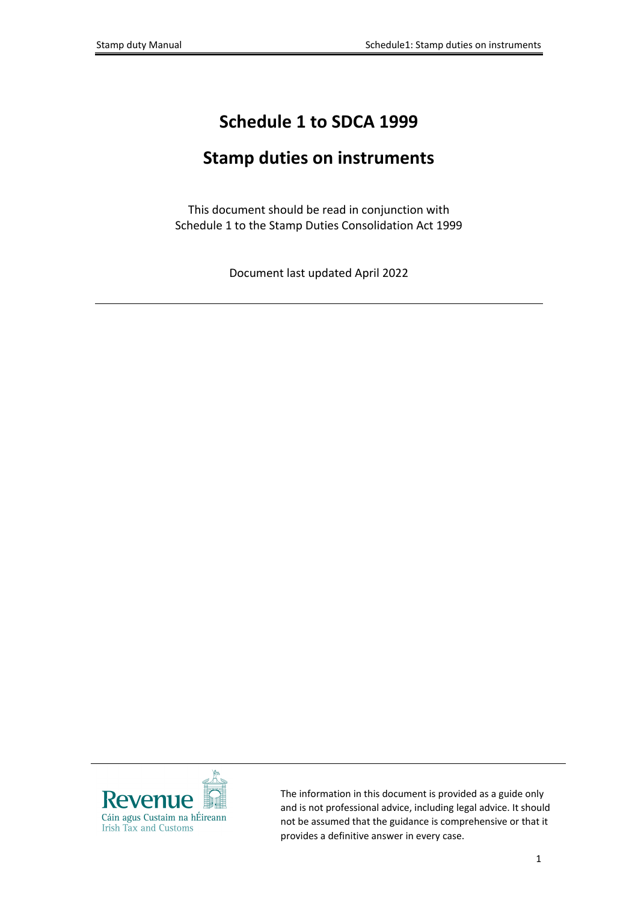# **Schedule 1 to SDCA 1999**

# **Stamp duties on instruments**

This document should be read in conjunction with Schedule 1 to the Stamp Duties Consolidation Act 1999

Document last updated April 2022



The information in this document is provided as a guide only and is not professional advice, including legal advice. It should not be assumed that the guidance is comprehensive or that it provides a definitive answer in every case.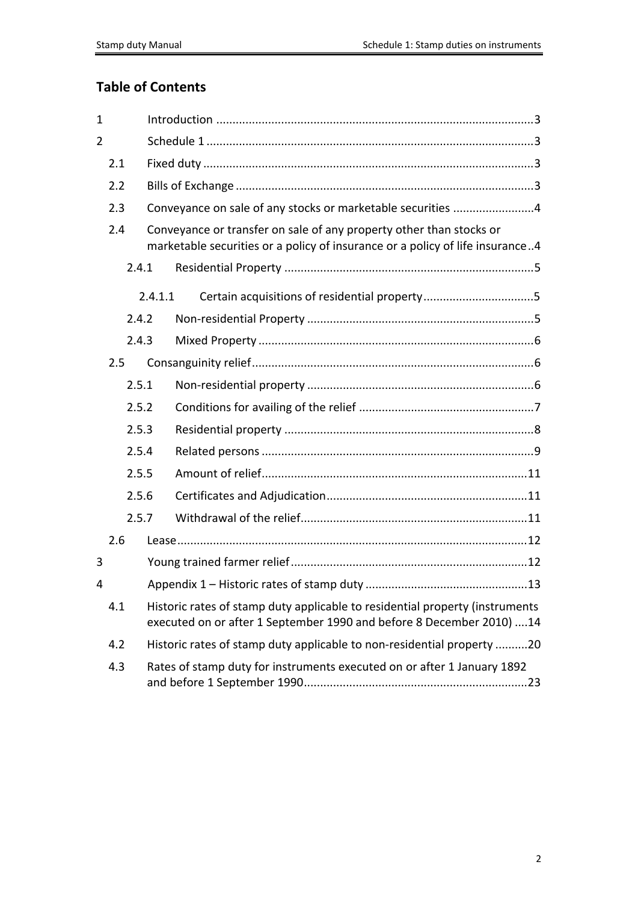# **Table of Contents**

| $\mathbf{1}$   |     |       |         |                                                                                                                                                       |
|----------------|-----|-------|---------|-------------------------------------------------------------------------------------------------------------------------------------------------------|
| $\overline{2}$ |     |       |         |                                                                                                                                                       |
|                | 2.1 |       |         |                                                                                                                                                       |
|                | 2.2 |       |         |                                                                                                                                                       |
|                | 2.3 |       |         | Conveyance on sale of any stocks or marketable securities 4                                                                                           |
|                | 2.4 |       |         | Conveyance or transfer on sale of any property other than stocks or<br>marketable securities or a policy of insurance or a policy of life insurance4  |
|                |     | 2.4.1 |         |                                                                                                                                                       |
|                |     |       | 2.4.1.1 |                                                                                                                                                       |
|                |     | 2.4.2 |         |                                                                                                                                                       |
|                |     | 2.4.3 |         |                                                                                                                                                       |
|                | 2.5 |       |         |                                                                                                                                                       |
|                |     | 2.5.1 |         |                                                                                                                                                       |
|                |     | 2.5.2 |         |                                                                                                                                                       |
|                |     | 2.5.3 |         |                                                                                                                                                       |
|                |     | 2.5.4 |         |                                                                                                                                                       |
|                |     | 2.5.5 |         |                                                                                                                                                       |
|                |     | 2.5.6 |         |                                                                                                                                                       |
|                |     | 2.5.7 |         |                                                                                                                                                       |
|                | 2.6 |       |         |                                                                                                                                                       |
| 3              |     |       |         |                                                                                                                                                       |
| 4              |     |       |         |                                                                                                                                                       |
|                | 4.1 |       |         | Historic rates of stamp duty applicable to residential property (instruments<br>executed on or after 1 September 1990 and before 8 December 2010)  14 |
|                | 4.2 |       |         | Historic rates of stamp duty applicable to non-residential property 20                                                                                |
|                | 4.3 |       |         | Rates of stamp duty for instruments executed on or after 1 January 1892                                                                               |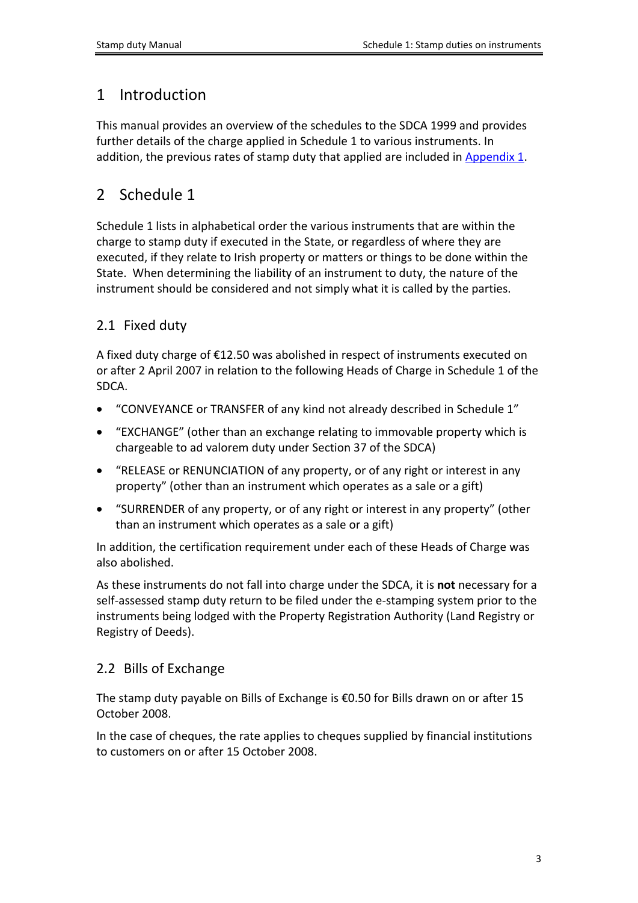# <span id="page-2-0"></span>1 Introduction

This manual provides an overview of the schedules to the SDCA 1999 and provides further details of the charge applied in Schedule 1 to various instruments. In addition, the previous rates of stamp duty that applied are included in [Appendix](#page-11-2) [1](#page-11-2).

# <span id="page-2-1"></span>2 Schedule 1

Schedule 1 lists in alphabetical order the various instruments that are within the charge to stamp duty if executed in the State, or regardless of where they are executed, if they relate to Irish property or matters or things to be done within the State. When determining the liability of an instrument to duty, the nature of the instrument should be considered and not simply what it is called by the parties.

# <span id="page-2-2"></span>2.1 Fixed duty

A fixed duty charge of €12.50 was abolished in respect of instruments executed on or after 2 April 2007 in relation to the following Heads of Charge in Schedule 1 of the SDCA.

- "CONVEYANCE or TRANSFER of any kind not already described in Schedule 1"
- "EXCHANGE" (other than an exchange relating to immovable property which is chargeable to ad valorem duty under Section 37 of the SDCA)
- "RELEASE or RENUNCIATION of any property, or of any right or interest in any property" (other than an instrument which operates as a sale or a gift)
- "SURRENDER of any property, or of any right or interest in any property" (other than an instrument which operates as a sale or a gift)

In addition, the certification requirement under each of these Heads of Charge was also abolished.

As these instruments do not fall into charge under the SDCA, it is **not** necessary for a self-assessed stamp duty return to be filed under the e-stamping system prior to the instruments being lodged with the Property Registration Authority (Land Registry or Registry of Deeds).

# <span id="page-2-3"></span>2.2 Bills of Exchange

The stamp duty payable on Bills of Exchange is €0.50 for Bills drawn on or after 15 October 2008.

In the case of cheques, the rate applies to cheques supplied by financial institutions to customers on or after 15 October 2008.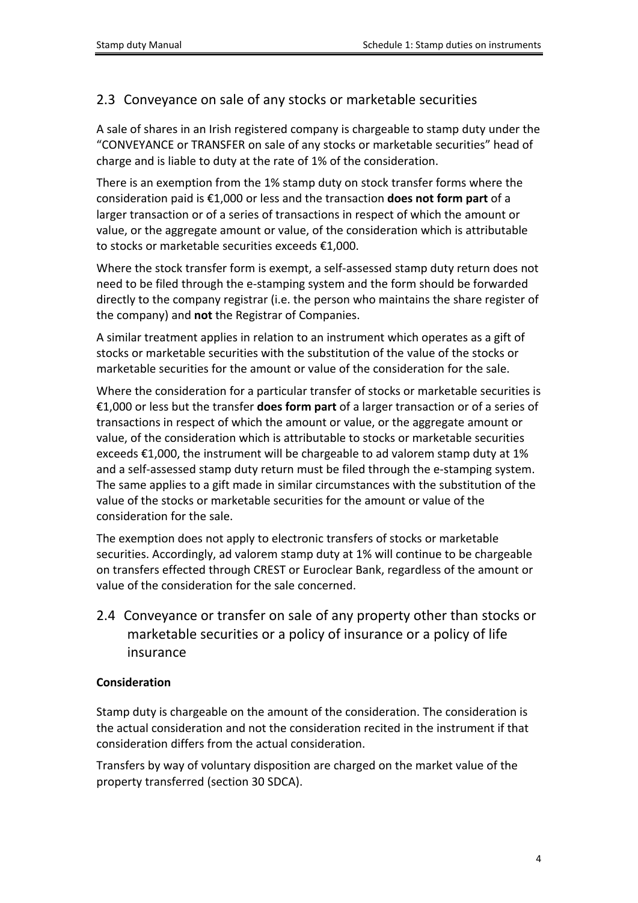# <span id="page-3-0"></span>2.3 Conveyance on sale of any stocks or marketable securities

A sale of shares in an Irish registered company is chargeable to stamp duty under the "CONVEYANCE or TRANSFER on sale of any stocks or marketable securities" head of charge and is liable to duty at the rate of 1% of the consideration.

There is an exemption from the 1% stamp duty on stock transfer forms where the consideration paid is €1,000 or less and the transaction **does not form part** of a larger transaction or of a series of transactions in respect of which the amount or value, or the aggregate amount or value, of the consideration which is attributable to stocks or marketable securities exceeds €1,000.

Where the stock transfer form is exempt, a self-assessed stamp duty return does not need to be filed through the e-stamping system and the form should be forwarded directly to the company registrar (i.e. the person who maintains the share register of the company) and **not** the Registrar of Companies.

A similar treatment applies in relation to an instrument which operates as a gift of stocks or marketable securities with the substitution of the value of the stocks or marketable securities for the amount or value of the consideration for the sale.

Where the consideration for a particular transfer of stocks or marketable securities is €1,000 or less but the transfer **does form part** of a larger transaction or of a series of transactions in respect of which the amount or value, or the aggregate amount or value, of the consideration which is attributable to stocks or marketable securities exceeds €1,000, the instrument will be chargeable to ad valorem stamp duty at 1% and a self-assessed stamp duty return must be filed through the e-stamping system. The same applies to a gift made in similar circumstances with the substitution of the value of the stocks or marketable securities for the amount or value of the consideration for the sale.

The exemption does not apply to electronic transfers of stocks or marketable securities. Accordingly, ad valorem stamp duty at 1% will continue to be chargeable on transfers effected through CREST or Euroclear Bank, regardless of the amount or value of the consideration for the sale concerned.

<span id="page-3-1"></span>2.4 Conveyance or transfer on sale of any property other than stocks or marketable securities or a policy of insurance or a policy of life insurance

#### **Consideration**

Stamp duty is chargeable on the amount of the consideration. The consideration is the actual consideration and not the consideration recited in the instrument if that consideration differs from the actual consideration.

Transfers by way of voluntary disposition are charged on the market value of the property transferred (section 30 SDCA).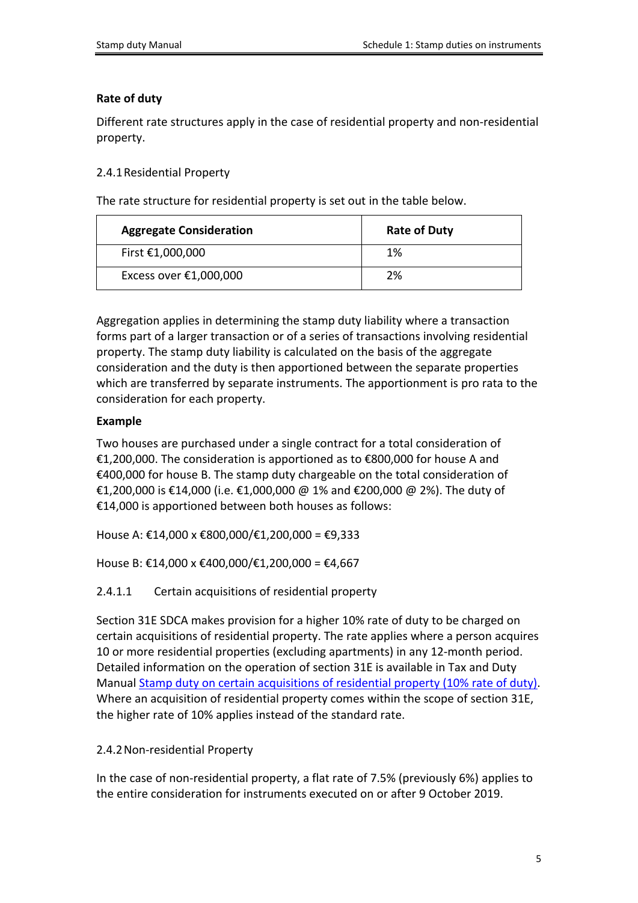### **Rate of duty**

Different rate structures apply in the case of residential property and non-residential property.

### <span id="page-4-0"></span>2.4.1Residential Property

The rate structure for residential property is set out in the table below.

| <b>Aggregate Consideration</b> | <b>Rate of Duty</b> |
|--------------------------------|---------------------|
| First €1,000,000               | 1%                  |
| Excess over $£1,000,000$       | 2%                  |

Aggregation applies in determining the stamp duty liability where a transaction forms part of a larger transaction or of a series of transactions involving residential property. The stamp duty liability is calculated on the basis of the aggregate consideration and the duty is then apportioned between the separate properties which are transferred by separate instruments. The apportionment is pro rata to the consideration for each property.

### **Example**

Two houses are purchased under a single contract for a total consideration of €1,200,000. The consideration is apportioned as to €800,000 for house A and €400,000 for house B. The stamp duty chargeable on the total consideration of €1,200,000 is €14,000 (i.e. €1,000,000 @ 1% and €200,000 @ 2%). The duty of €14,000 is apportioned between both houses as follows:

House A: €14,000 x €800,000/€1,200,000 = €9,333

House B: €14,000 x €400,000/€1,200,000 = €4,667

### <span id="page-4-1"></span>2.4.1.1 Certain acquisitions of residential property

Section 31E SDCA makes provision for a higher 10% rate of duty to be charged on certain acquisitions of residential property. The rate applies where a person acquires 10 or more residential properties (excluding apartments) in any 12-month period. Detailed information on the operation of section 31E is available in Tax and Duty Manual [Stamp](https://www.revenue.ie/en/tax-professionals/tdm/stamp-duty/stamp-duty-manual/part-05-provisions-applicable-to-particular-instruments/section-31e-stamp-duty-on-certain-acquisitions-of-residential-property.pdf) [duty](https://www.revenue.ie/en/tax-professionals/tdm/stamp-duty/stamp-duty-manual/part-05-provisions-applicable-to-particular-instruments/section-31e-stamp-duty-on-certain-acquisitions-of-residential-property.pdf) [on](https://www.revenue.ie/en/tax-professionals/tdm/stamp-duty/stamp-duty-manual/part-05-provisions-applicable-to-particular-instruments/section-31e-stamp-duty-on-certain-acquisitions-of-residential-property.pdf) [certain](https://www.revenue.ie/en/tax-professionals/tdm/stamp-duty/stamp-duty-manual/part-05-provisions-applicable-to-particular-instruments/section-31e-stamp-duty-on-certain-acquisitions-of-residential-property.pdf) [acquisitions](https://www.revenue.ie/en/tax-professionals/tdm/stamp-duty/stamp-duty-manual/part-05-provisions-applicable-to-particular-instruments/section-31e-stamp-duty-on-certain-acquisitions-of-residential-property.pdf) [of](https://www.revenue.ie/en/tax-professionals/tdm/stamp-duty/stamp-duty-manual/part-05-provisions-applicable-to-particular-instruments/section-31e-stamp-duty-on-certain-acquisitions-of-residential-property.pdf) [residential](https://www.revenue.ie/en/tax-professionals/tdm/stamp-duty/stamp-duty-manual/part-05-provisions-applicable-to-particular-instruments/section-31e-stamp-duty-on-certain-acquisitions-of-residential-property.pdf) [property](https://www.revenue.ie/en/tax-professionals/tdm/stamp-duty/stamp-duty-manual/part-05-provisions-applicable-to-particular-instruments/section-31e-stamp-duty-on-certain-acquisitions-of-residential-property.pdf) [\(10%](https://www.revenue.ie/en/tax-professionals/tdm/stamp-duty/stamp-duty-manual/part-05-provisions-applicable-to-particular-instruments/section-31e-stamp-duty-on-certain-acquisitions-of-residential-property.pdf) [rate](https://www.revenue.ie/en/tax-professionals/tdm/stamp-duty/stamp-duty-manual/part-05-provisions-applicable-to-particular-instruments/section-31e-stamp-duty-on-certain-acquisitions-of-residential-property.pdf) [of](https://www.revenue.ie/en/tax-professionals/tdm/stamp-duty/stamp-duty-manual/part-05-provisions-applicable-to-particular-instruments/section-31e-stamp-duty-on-certain-acquisitions-of-residential-property.pdf) [duty\)](https://www.revenue.ie/en/tax-professionals/tdm/stamp-duty/stamp-duty-manual/part-05-provisions-applicable-to-particular-instruments/section-31e-stamp-duty-on-certain-acquisitions-of-residential-property.pdf). Where an acquisition of residential property comes within the scope of section 31E, the higher rate of 10% applies instead of the standard rate.

#### <span id="page-4-2"></span>2.4.2Non-residential Property

In the case of non-residential property, a flat rate of 7.5% (previously 6%) applies to the entire consideration for instruments executed on or after 9 October 2019.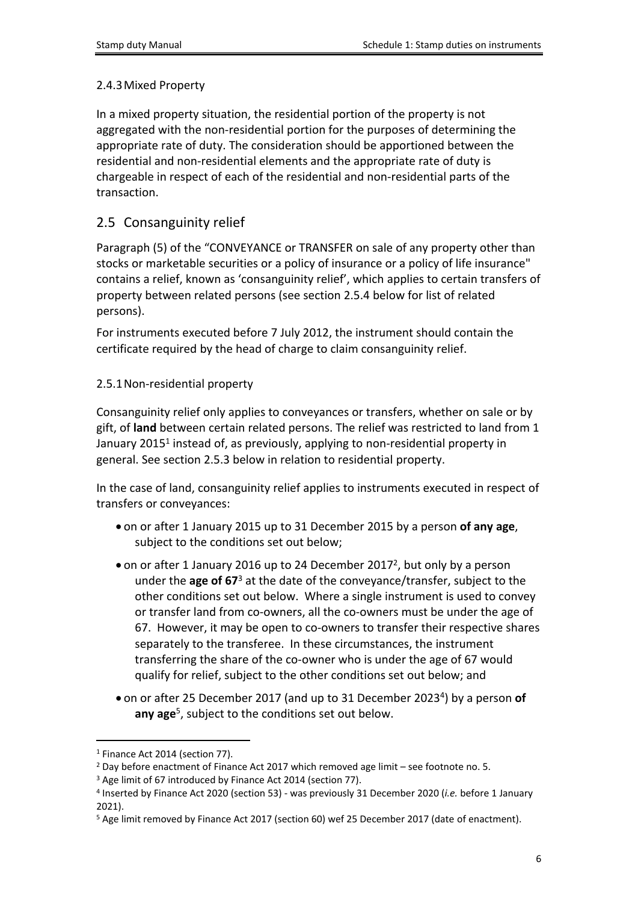## <span id="page-5-0"></span>2.4.3Mixed Property

In a mixed property situation, the residential portion of the property is not aggregated with the non-residential portion for the purposes of determining the appropriate rate of duty. The consideration should be apportioned between the residential and non-residential elements and the appropriate rate of duty is chargeable in respect of each of the residential and non-residential parts of the transaction.

# <span id="page-5-1"></span>2.5 Consanguinity relief

Paragraph (5) of the "CONVEYANCE or TRANSFER on sale of any property other than stocks or marketable securities or a policy of insurance or a policy of life insurance" contains a relief, known as 'consanguinity relief', which applies to certain transfers of property between related persons (see section 2.5.4 below for list of related persons).

For instruments executed before 7 July 2012, the instrument should contain the certificate required by the head of charge to claim consanguinity relief.

## <span id="page-5-2"></span>2.5.1Non-residential property

Consanguinity relief only applies to conveyances or transfers, whether on sale or by gift, of **land** between certain related persons. The relief was restricted to land from 1 January 2015<sup>1</sup> instead of, as previously, applying to non-residential property in general. See section 2.5.3 below in relation to residential property.

In the case of land, consanguinity relief applies to instruments executed in respect of transfers or conveyances:

- on or after 1 January 2015 up to 31 December 2015 by a person **of any age**, subject to the conditions set out below;
- on or after 1 January 2016 up to 24 December 2017<sup>2</sup>, but only by a person under the **age of 67**<sup>3</sup> at the date of the conveyance/transfer, subject to the other conditions set out below. Where a single instrument is used to convey or transfer land from co-owners, all the co-owners must be under the age of 67. However, it may be open to co-owners to transfer their respective shares separately to the transferee. In these circumstances, the instrument transferring the share of the co-owner who is under the age of 67 would qualify for relief, subject to the other conditions set out below; and
- on or after 25 December 2017 (and up to 31 December 2023<sup>4</sup>) by a person of **any age**<sup>5</sup> , subject to the conditions set out below.

<sup>1</sup> Finance Act 2014 (section 77).

<sup>&</sup>lt;sup>2</sup> Day before enactment of Finance Act 2017 which removed age limit - see footnote no. 5.

<sup>&</sup>lt;sup>3</sup> Age limit of 67 introduced by Finance Act 2014 (section 77).

<sup>4</sup> Inserted by Finance Act 2020 (section 53) - was previously 31 December 2020 (*i.e.* before 1 January 2021).

<sup>5</sup> Age limit removed by Finance Act 2017 (section 60) wef 25 December 2017 (date of enactment).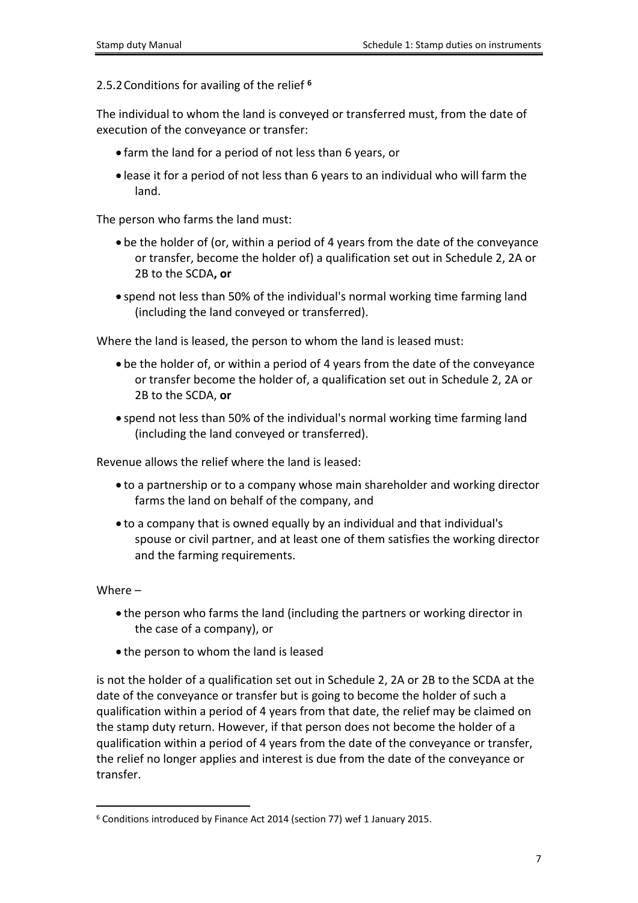<span id="page-6-0"></span>2.5.2Conditions for availing of the relief **<sup>6</sup>**

The individual to whom the land is conveyed or transferred must, from the date of execution of the conveyance or transfer:

- farm the land for a period of not less than 6 years, or
- lease it for a period of not less than 6 years to an individual who will farm the land.

The person who farms the land must:

- be the holder of (or, within a period of 4 years from the date of the conveyance or transfer, become the holder of) a qualification set out in Schedule 2, 2A or 2B to the SCDA**, or**
- spend not less than 50% of the individual's normal working time farming land (including the land conveyed or transferred).

Where the land is leased, the person to whom the land is leased must:

- be the holder of, or within a period of 4 years from the date of the conveyance or transfer become the holder of, a qualification set out in Schedule 2, 2A or 2B to the SCDA, **or**
- spend not less than 50% of the individual's normal working time farming land (including the land conveyed or transferred).

Revenue allows the relief where the land is leased:

- to a partnership or to a company whose main shareholder and working director farms the land on behalf of the company, and
- to a company that is owned equally by an individual and that individual's spouse or civil partner, and at least one of them satisfies the working director and the farming requirements.

Where –

- the person who farms the land (including the partners or working director in the case of a company), or
- the person to whom the land is leased

is not the holder of a qualification set out in Schedule 2, 2A or 2B to the SCDA at the date of the conveyance or transfer but is going to become the holder of such a qualification within a period of 4 years from that date, the relief may be claimed on the stamp duty return. However, if that person does not become the holder of a qualification within a period of 4 years from the date of the conveyance or transfer, the relief no longer applies and interest is due from the date of the conveyance or transfer.

<sup>6</sup> Conditions introduced by Finance Act 2014 (section 77) wef 1 January 2015.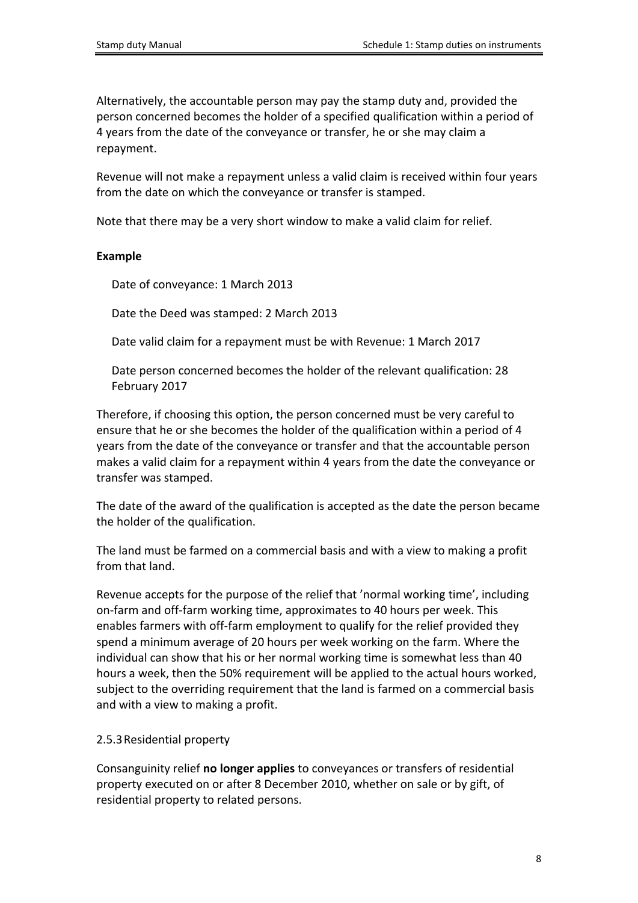Alternatively, the accountable person may pay the stamp duty and, provided the person concerned becomes the holder of a specified qualification within a period of 4 years from the date of the conveyance or transfer, he or she may claim a repayment.

Revenue will not make a repayment unless a valid claim is received within four years from the date on which the conveyance or transfer is stamped.

Note that there may be a very short window to make a valid claim for relief.

### **Example**

Date of conveyance: 1 March 2013

Date the Deed was stamped: 2 March 2013

Date valid claim for a repayment must be with Revenue: 1 March 2017

Date person concerned becomes the holder of the relevant qualification: 28 February 2017

Therefore, if choosing this option, the person concerned must be very careful to ensure that he or she becomes the holder of the qualification within a period of 4 years from the date of the conveyance or transfer and that the accountable person makes a valid claim for a repayment within 4 years from the date the conveyance or transfer was stamped.

The date of the award of the qualification is accepted as the date the person became the holder of the qualification.

The land must be farmed on a commercial basis and with a view to making a profit from that land.

Revenue accepts for the purpose of the relief that 'normal working time', including on-farm and off-farm working time, approximates to 40 hours per week. This enables farmers with off-farm employment to qualify for the relief provided they spend a minimum average of 20 hours per week working on the farm. Where the individual can show that his or her normal working time is somewhat less than 40 hours a week, then the 50% requirement will be applied to the actual hours worked, subject to the overriding requirement that the land is farmed on a commercial basis and with a view to making a profit.

### <span id="page-7-0"></span>2.5.3Residential property

Consanguinity relief **no longer applies** to conveyances or transfers of residential property executed on or after 8 December 2010, whether on sale or by gift, of residential property to related persons.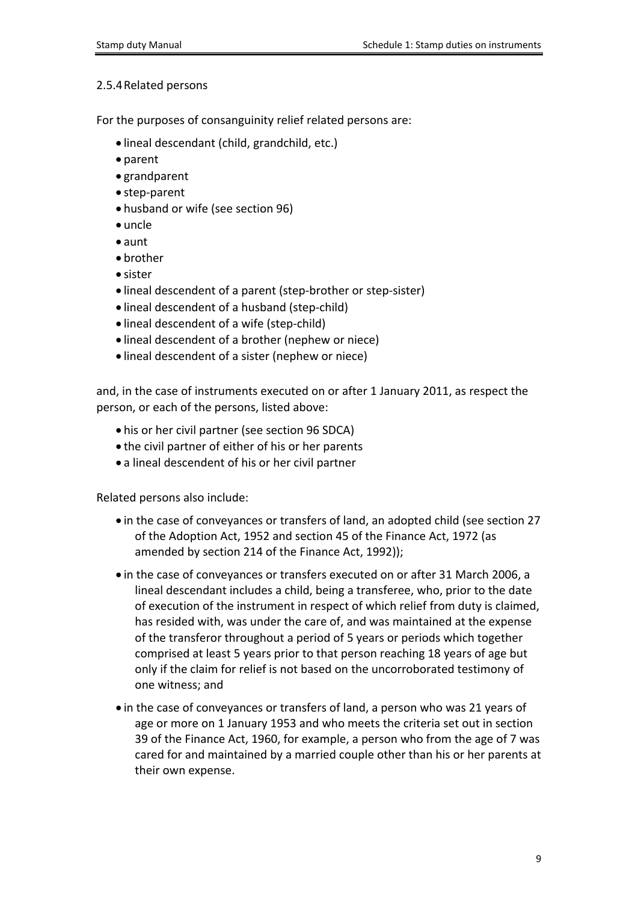#### <span id="page-8-0"></span>2.5.4Related persons

For the purposes of consanguinity relief related persons are:

- lineal descendant (child, grandchild, etc.)
- parent
- grandparent
- step-parent
- husband or wife (see section 96)
- uncle
- aunt
- brother
- sister
- lineal descendent of a parent (step-brother or step-sister)
- lineal descendent of a husband (step-child)
- lineal descendent of a wife (step-child)
- lineal descendent of a brother (nephew or niece)
- lineal descendent of a sister (nephew or niece)

and, in the case of instruments executed on or after 1 January 2011, as respect the person, or each of the persons, listed above:

- his or her civil partner (see section 96 SDCA)
- the civil partner of either of his or her parents
- a lineal descendent of his or her civil partner

Related persons also include:

- in the case of conveyances or transfers of land, an adopted child (see section 27 of the Adoption Act, 1952 and section 45 of the Finance Act, 1972 (as amended by section 214 of the Finance Act, 1992));
- in the case of conveyances or transfers executed on or after 31 March 2006, a lineal descendant includes a child, being a transferee, who, prior to the date of execution of the instrument in respect of which relief from duty is claimed, has resided with, was under the care of, and was maintained at the expense of the transferor throughout a period of 5 years or periods which together comprised at least 5 years prior to that person reaching 18 years of age but only if the claim for relief is not based on the uncorroborated testimony of one witness; and
- in the case of conveyances or transfers of land, a person who was 21 years of age or more on 1 January 1953 and who meets the criteria set out in section 39 of the Finance Act, 1960, for example, a person who from the age of 7 was cared for and maintained by a married couple other than his or her parents at their own expense.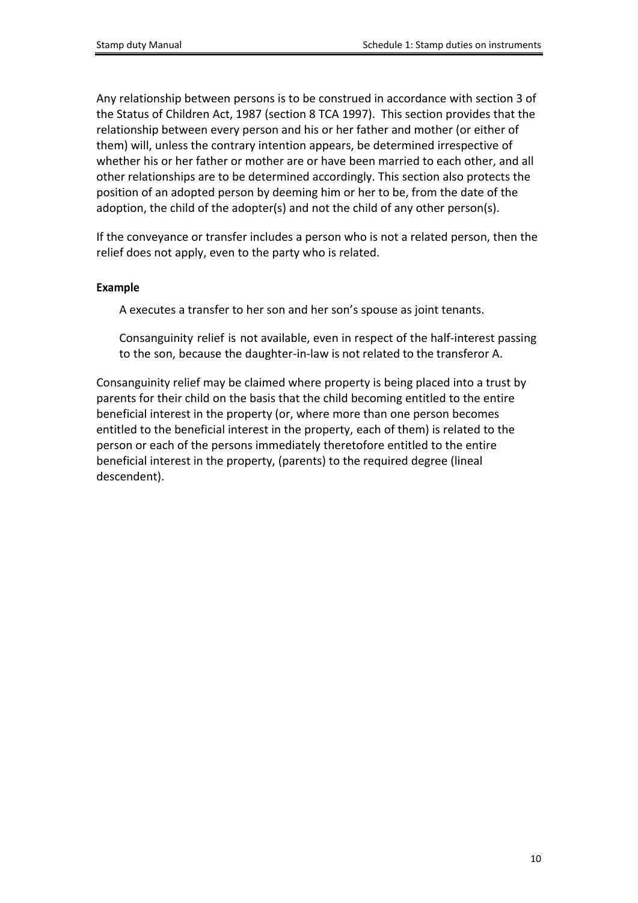Any relationship between persons is to be construed in accordance with section 3 of the Status of Children Act, 1987 (section 8 TCA 1997). This section provides that the relationship between every person and his or her father and mother (or either of them) will, unless the contrary intention appears, be determined irrespective of whether his or her father or mother are or have been married to each other, and all other relationships are to be determined accordingly. This section also protects the position of an adopted person by deeming him or her to be, from the date of the adoption, the child of the adopter(s) and not the child of any other person(s).

If the conveyance or transfer includes a person who is not a related person, then the relief does not apply, even to the party who is related.

#### **Example**

A executes a transfer to her son and her son's spouse as joint tenants.

Consanguinity relief is not available, even in respect of the half-interest passing to the son, because the daughter-in-law is not related to the transferor A.

Consanguinity relief may be claimed where property is being placed into a trust by parents for their child on the basis that the child becoming entitled to the entire beneficial interest in the property (or, where more than one person becomes entitled to the beneficial interest in the property, each of them) is related to the person or each of the persons immediately theretofore entitled to the entire beneficial interest in the property, (parents) to the required degree (lineal descendent).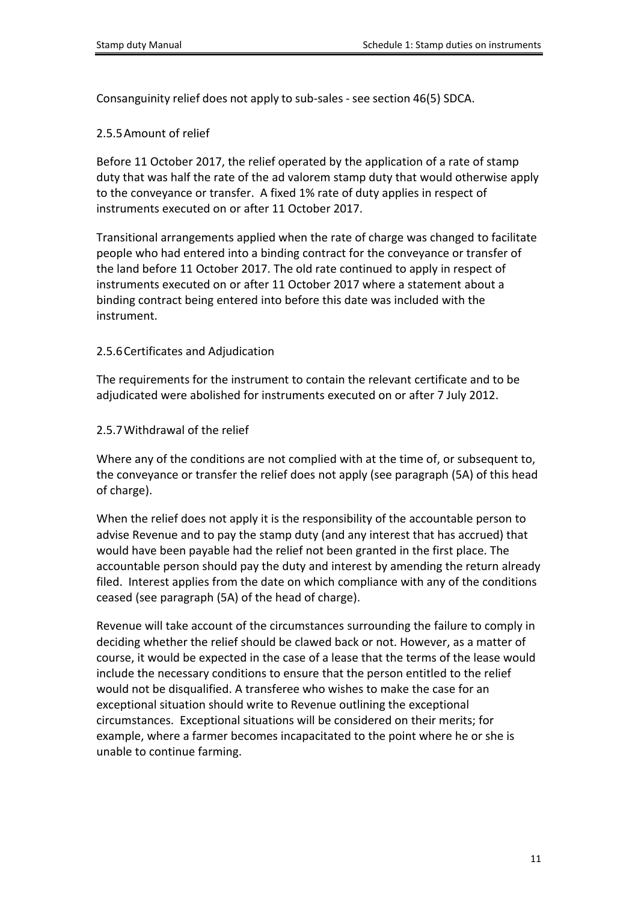<span id="page-10-0"></span>Consanguinity relief does not apply to sub-sales - see section 46(5) SDCA.

### 2.5.5Amount of relief

Before 11 October 2017, the relief operated by the application of a rate of stamp duty that was half the rate of the ad valorem stamp duty that would otherwise apply to the conveyance or transfer. A fixed 1% rate of duty applies in respect of instruments executed on or after 11 October 2017.

Transitional arrangements applied when the rate of charge was changed to facilitate people who had entered into a binding contract for the conveyance or transfer of the land before 11 October 2017. The old rate continued to apply in respect of instruments executed on or after 11 October 2017 where a statement about a binding contract being entered into before this date was included with the instrument.

### <span id="page-10-1"></span>2.5.6Certificates and Adjudication

The requirements for the instrument to contain the relevant certificate and to be adjudicated were abolished for instruments executed on or after 7 July 2012.

<span id="page-10-2"></span>2.5.7Withdrawal of the relief

Where any of the conditions are not complied with at the time of, or subsequent to, the conveyance or transfer the relief does not apply (see paragraph (5A) of this head of charge).

When the relief does not apply it is the responsibility of the accountable person to advise Revenue and to pay the stamp duty (and any interest that has accrued) that would have been payable had the relief not been granted in the first place. The accountable person should pay the duty and interest by amending the return already filed. Interest applies from the date on which compliance with any of the conditions ceased (see paragraph (5A) of the head of charge).

Revenue will take account of the circumstances surrounding the failure to comply in deciding whether the relief should be clawed back or not. However, as a matter of course, it would be expected in the case of a lease that the terms of the lease would include the necessary conditions to ensure that the person entitled to the relief would not be disqualified. A transferee who wishes to make the case for an exceptional situation should write to Revenue outlining the exceptional circumstances. Exceptional situations will be considered on their merits; for example, where a farmer becomes incapacitated to the point where he or she is unable to continue farming.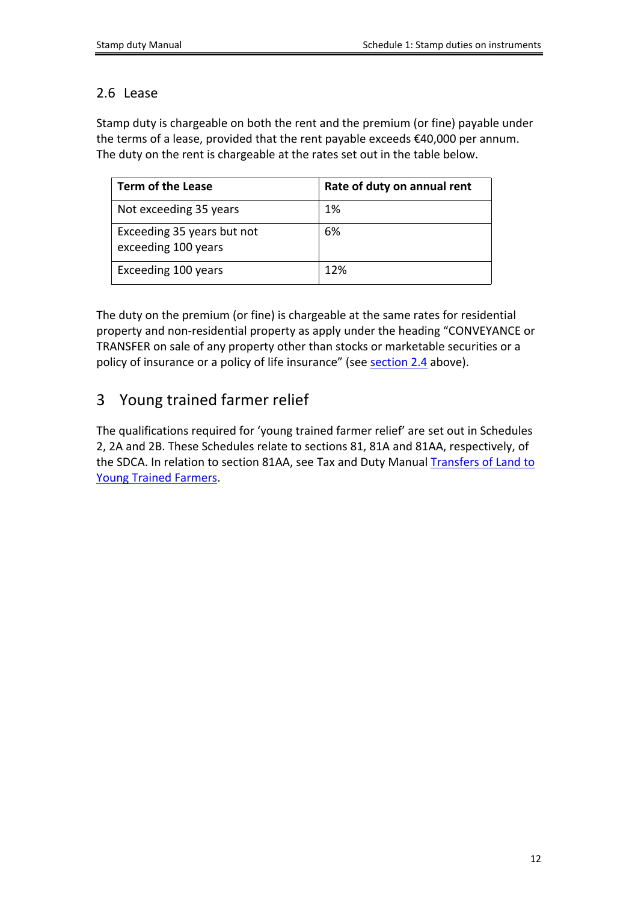# <span id="page-11-0"></span>2.6 Lease

Stamp duty is chargeable on both the rent and the premium (or fine) payable under the terms of a lease, provided that the rent payable exceeds €40,000 per annum. The duty on the rent is chargeable at the rates set out in the table below.

| <b>Term of the Lease</b>                          | Rate of duty on annual rent |
|---------------------------------------------------|-----------------------------|
| Not exceeding 35 years                            | 1%                          |
| Exceeding 35 years but not<br>exceeding 100 years | 6%                          |
| Exceeding 100 years                               | 12%                         |

The duty on the premium (or fine) is chargeable at the same rates for residential property and non-residential property as apply under the heading "CONVEYANCE or TRANSFER on sale of any property other than stocks or marketable securities or a policy of insurance or a policy of life insurance" (see [section](#page-3-1) [2.4](#page-3-1) above).

# <span id="page-11-1"></span>3 Young trained farmer relief

<span id="page-11-2"></span>The qualifications required for 'young trained farmer relief' are set out in Schedules 2, 2A and 2B. These Schedules relate to sections 81, 81A and 81AA, respectively, of the SDCA. In relation to section 81AA, see Tax and Duty Manual [Transfers](https://www.revenue.ie/en/tax-professionals/tdm/stamp-duty/stamp-duty-manual/part-07-exemptions-and-reliefs-from-stamp-duty/section-81aa-transfers-of-land-to-young-trained-farmers.pdf) [of](https://www.revenue.ie/en/tax-professionals/tdm/stamp-duty/stamp-duty-manual/part-07-exemptions-and-reliefs-from-stamp-duty/section-81aa-transfers-of-land-to-young-trained-farmers.pdf) [Land](https://www.revenue.ie/en/tax-professionals/tdm/stamp-duty/stamp-duty-manual/part-07-exemptions-and-reliefs-from-stamp-duty/section-81aa-transfers-of-land-to-young-trained-farmers.pdf) [to](https://www.revenue.ie/en/tax-professionals/tdm/stamp-duty/stamp-duty-manual/part-07-exemptions-and-reliefs-from-stamp-duty/section-81aa-transfers-of-land-to-young-trained-farmers.pdf) [Young](https://www.revenue.ie/en/tax-professionals/tdm/stamp-duty/stamp-duty-manual/part-07-exemptions-and-reliefs-from-stamp-duty/section-81aa-transfers-of-land-to-young-trained-farmers.pdf) [Trained](https://www.revenue.ie/en/tax-professionals/tdm/stamp-duty/stamp-duty-manual/part-07-exemptions-and-reliefs-from-stamp-duty/section-81aa-transfers-of-land-to-young-trained-farmers.pdf) [Farmers.](https://www.revenue.ie/en/tax-professionals/tdm/stamp-duty/stamp-duty-manual/part-07-exemptions-and-reliefs-from-stamp-duty/section-81aa-transfers-of-land-to-young-trained-farmers.pdf)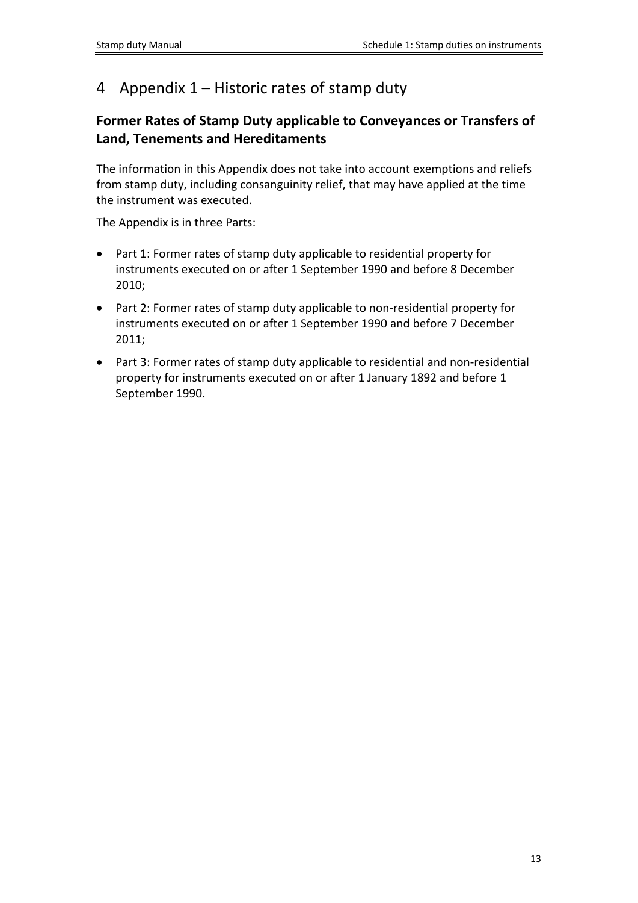# <span id="page-12-0"></span>4 Appendix 1 – Historic rates of stamp duty

# **Former Rates of Stamp Duty applicable to Conveyances or Transfers of Land, Tenements and Hereditaments**

The information in this Appendix does not take into account exemptions and reliefs from stamp duty, including consanguinity relief, that may have applied at the time the instrument was executed.

The Appendix is in three Parts:

- Part 1: Former rates of stamp duty applicable to residential property for instruments executed on or after 1 September 1990 and before 8 December 2010;
- Part 2: Former rates of stamp duty applicable to non-residential property for instruments executed on or after 1 September 1990 and before 7 December 2011;
- Part 3: Former rates of stamp duty applicable to residential and non-residential property for instruments executed on or after 1 January 1892 and before 1 September 1990.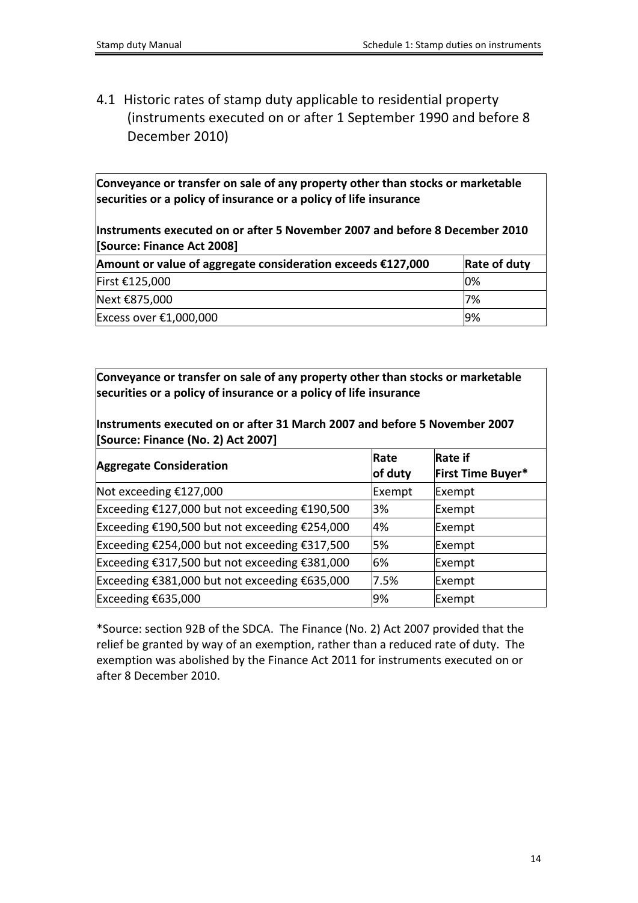<span id="page-13-0"></span>4.1 Historic rates of stamp duty applicable to residential property (instruments executed on or after 1 September 1990 and before 8 December 2010)

**Conveyance or transfer on sale of any property other than stocks or marketable securities or a policy of insurance or a policy of life insurance**

**Instruments executed on or after 5 November 2007 and before 8 December 2010 [Source: Finance Act 2008] Amount or value of aggregate consideration exceeds €127,000 Rate of duty** First €125,000  $\vert$  0%

| First €125,000         | $10\%$ |
|------------------------|--------|
| Next €875,000          | '7%    |
| Excess over €1,000,000 | 9%     |

**Conveyance or transfer on sale of any property other than stocks or marketable securities or a policy of insurance or a policy of life insurance**

**Instruments executed on or after 31 March 2007 and before 5 November 2007 [Source: Finance (No. 2) Act 2007]**

| <b>Aggregate Consideration</b>                | Rate<br>of duty | <b>Rate if</b><br>First Time Buyer* |
|-----------------------------------------------|-----------------|-------------------------------------|
| Not exceeding $£127,000$                      | Exempt          | Exempt                              |
| Exceeding €127,000 but not exceeding €190,500 | 3%              | Exempt                              |
| Exceeding €190,500 but not exceeding €254,000 | 4%              | Exempt                              |
| Exceeding €254,000 but not exceeding €317,500 | 5%              | Exempt                              |
| Exceeding €317,500 but not exceeding €381,000 | 6%              | Exempt                              |
| Exceeding €381,000 but not exceeding €635,000 | 7.5%            | Exempt                              |
| Exceeding $£635,000$                          | 9%              | Exempt                              |

\*Source: section 92B of the SDCA. The Finance (No. 2) Act 2007 provided that the relief be granted by way of an exemption, rather than a reduced rate of duty. The exemption was abolished by the Finance Act 2011 for instruments executed on or after 8 December 2010.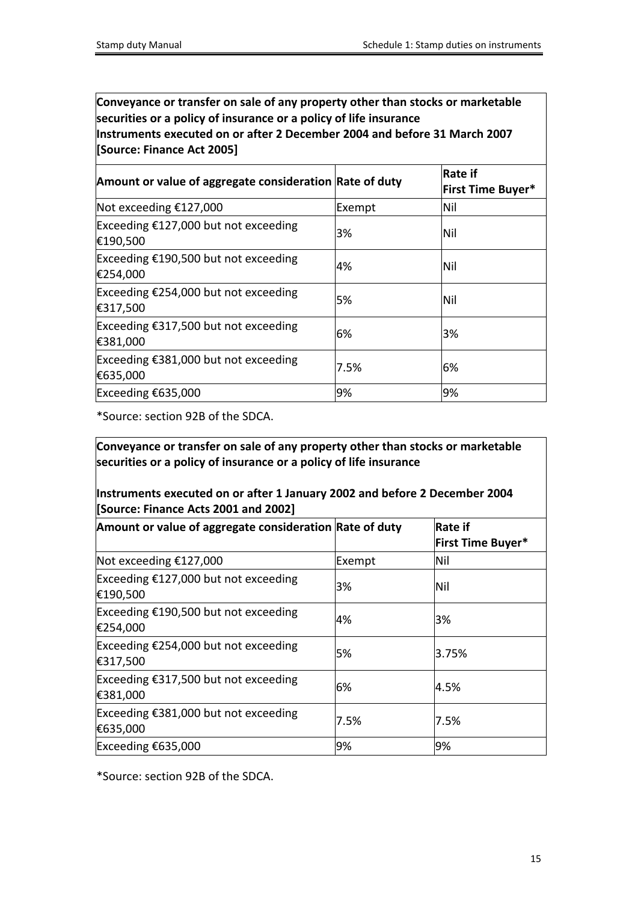**Conveyance or transfer on sale of any property other than stocks or marketable securities or a policy of insurance or a policy of life insurance Instruments executed on or after 2 December 2004 and before 31 March 2007 [Source: Finance Act 2005]**

| Amount or value of aggregate consideration Rate of duty    |        | Rate if<br><b>First Time Buyer*</b> |
|------------------------------------------------------------|--------|-------------------------------------|
| Not exceeding $£127,000$                                   | Exempt | lNil                                |
| Exceeding $£127,000$ but not exceeding<br>€190,500         | 3%     | Nil                                 |
| Exceeding $£190,500$ but not exceeding<br>€254,000         | 4%     | Nil                                 |
| Exceeding €254,000 but not exceeding<br>€317,500           | 5%     | Nil                                 |
| Exceeding €317,500 but not exceeding<br>€381,000           | 6%     | 3%                                  |
| Exceeding $\epsilon$ 381,000 but not exceeding<br>€635,000 | 7.5%   | 6%                                  |
| Exceeding $£635,000$                                       | 9%     | 9%                                  |

\*Source: section 92B of the SDCA.

**Conveyance or transfer on sale of any property other than stocks or marketable securities or a policy of insurance or a policy of life insurance**

**Instruments executed on or after 1 January 2002 and before 2 December 2004 [Source: Finance Acts 2001 and 2002]**

| Amount or value of aggregate consideration Rate of duty |        | Rate if<br><b>First Time Buyer*</b> |
|---------------------------------------------------------|--------|-------------------------------------|
| Not exceeding $£127,000$                                | Exempt | lNil                                |
| Exceeding $£127,000$ but not exceeding<br>€190,500      | 3%     | Nil                                 |
| Exceeding €190,500 but not exceeding<br>€254,000        | 4%     | 3%                                  |
| Exceeding €254,000 but not exceeding<br>€317,500        | 5%     | 3.75%                               |
| Exceeding €317,500 but not exceeding<br>€381,000        | 6%     | 4.5%                                |
| Exceeding €381,000 but not exceeding<br>€635,000        | 7.5%   | 7.5%                                |
| Exceeding $£635,000$                                    | 9%     | 9%                                  |

\*Source: section 92B of the SDCA.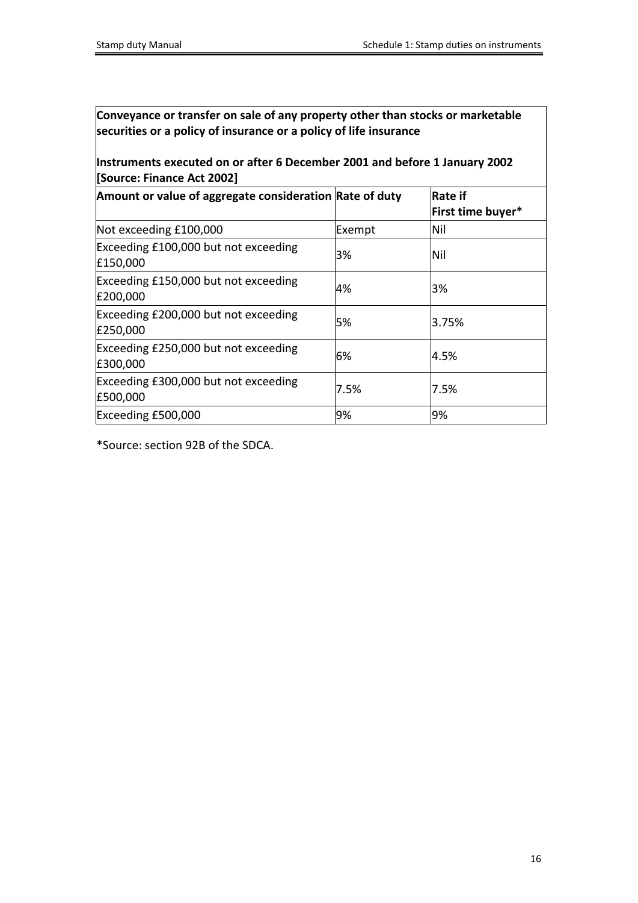# **Instruments executed on or after 6 December 2001 and before 1 January 2002 [Source: Finance Act 2002]**

| Amount or value of aggregate consideration Rate of duty |        | Rate if<br>First time buyer* |
|---------------------------------------------------------|--------|------------------------------|
| Not exceeding £100,000                                  | Exempt | Nil                          |
| Exceeding £100,000 but not exceeding<br>£150,000        | 3%     | Nil                          |
| Exceeding £150,000 but not exceeding<br>£200,000        | 4%     | 3%                           |
| Exceeding £200,000 but not exceeding<br>£250,000        | 5%     | 3.75%                        |
| Exceeding £250,000 but not exceeding<br>£300,000        | 6%     | 4.5%                         |
| Exceeding £300,000 but not exceeding<br>£500,000        | 7.5%   | 7.5%                         |
| Exceeding £500,000                                      | 9%     | 9%                           |

\*Source: section 92B of the SDCA.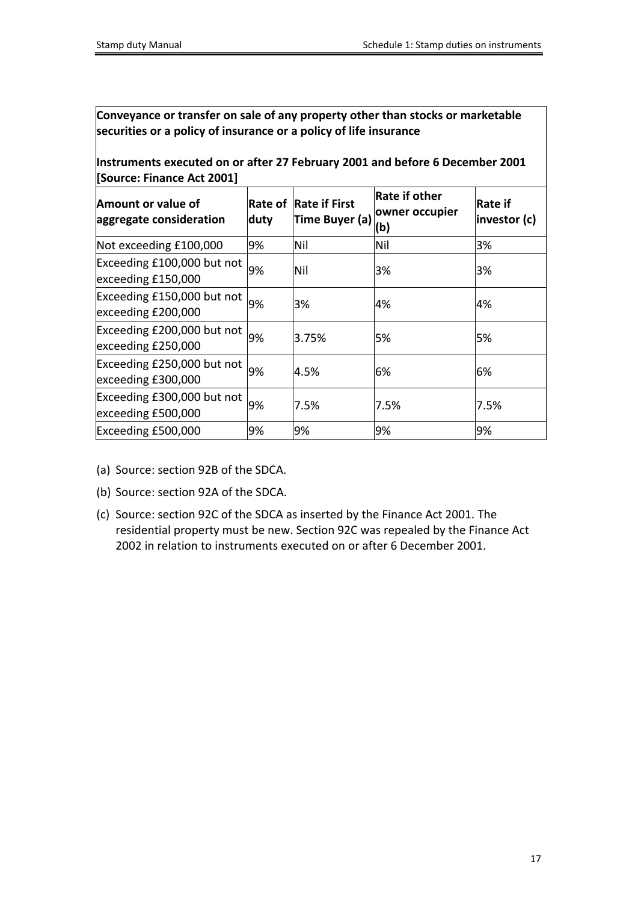**Instruments executed on or after 27 February 2001 and before 6 December 2001 [Source: Finance Act 2001]**

| Amount or value of<br>aggregate consideration    | Rate of<br>duty | <b>Rate if First</b><br>Time Buyer (a) | <b>Rate if other</b><br>owner occupier<br>(b) | Rate if<br>investor (c) |
|--------------------------------------------------|-----------------|----------------------------------------|-----------------------------------------------|-------------------------|
| Not exceeding £100,000                           | 9%              | Nil                                    | Nil                                           | 3%                      |
| Exceeding £100,000 but not<br>exceeding £150,000 | 9%              | Nil                                    | 3%                                            | 3%                      |
| Exceeding £150,000 but not<br>exceeding £200,000 | 9%              | 3%                                     | 4%                                            | 4%                      |
| Exceeding £200,000 but not<br>exceeding £250,000 | 9%              | 3.75%                                  | 5%                                            | 5%                      |
| Exceeding £250,000 but not<br>exceeding £300,000 | 9%              | 4.5%                                   | 6%                                            | 6%                      |
| Exceeding £300,000 but not<br>exceeding £500,000 | 9%              | 7.5%                                   | 7.5%                                          | 7.5%                    |
| Exceeding £500,000                               | 9%              | 9%                                     | 9%                                            | 9%                      |

- (a) Source: section 92B of the SDCA.
- (b) Source: section 92A of the SDCA.
- (c) Source: section 92C of the SDCA as inserted by the Finance Act 2001. The residential property must be new. Section 92C was repealed by the Finance Act 2002 in relation to instruments executed on or after 6 December 2001.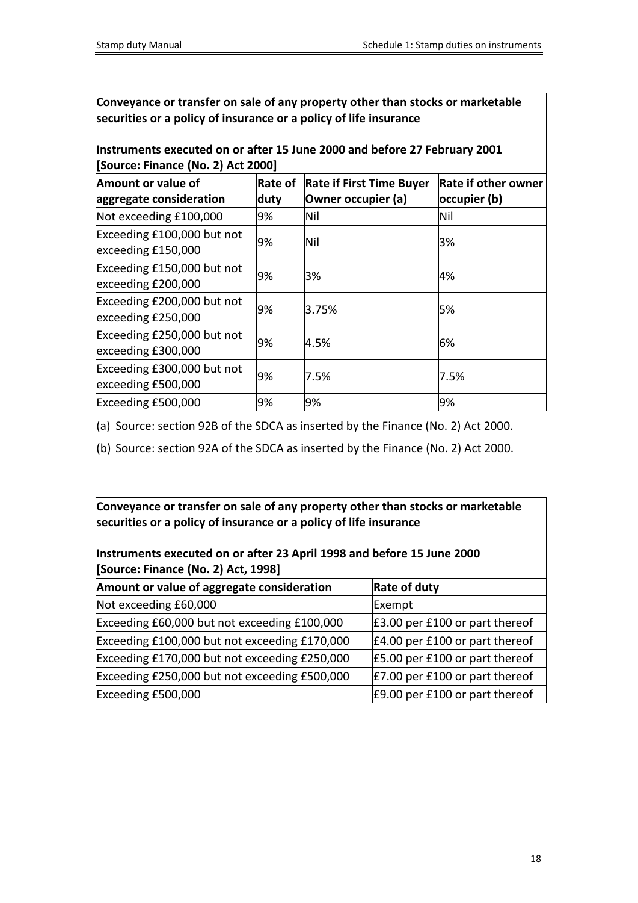### **Instruments executed on or after 15 June 2000 and before 27 February 2001 [Source: Finance (No. 2) Act 2000]**

| Amount or value of<br>aggregate consideration    | Rate of<br>duty | <b>Rate if First Time Buyer</b><br>Owner occupier (a) | <b>Rate if other owner</b><br>occupier (b) |
|--------------------------------------------------|-----------------|-------------------------------------------------------|--------------------------------------------|
| Not exceeding £100,000                           | 9%              | Nil                                                   | Nil                                        |
| Exceeding £100,000 but not<br>exceeding £150,000 | 9%              | Nil                                                   | 3%                                         |
| Exceeding £150,000 but not<br>exceeding £200,000 | 9%              | 3%                                                    | 4%                                         |
| Exceeding £200,000 but not<br>exceeding £250,000 | 9%              | 3.75%                                                 | 5%                                         |
| Exceeding £250,000 but not<br>exceeding £300,000 | 9%              | 4.5%                                                  | 6%                                         |
| Exceeding £300,000 but not<br>exceeding £500,000 | 9%              | 7.5%                                                  | 7.5%                                       |
| Exceeding £500,000                               | 9%              | 9%                                                    | 9%                                         |

(a) Source: section 92B of the SDCA as inserted by the Finance (No. 2) Act 2000.

(b) Source: section 92A of the SDCA as inserted by the Finance (No. 2) Act 2000.

**Conveyance or transfer on sale of any property other than stocks or marketable securities or a policy of insurance or a policy of life insurance**

### **Instruments executed on or after 23 April 1998 and before 15 June 2000 [Source: Finance (No. 2) Act, 1998]**

| Amount or value of aggregate consideration    | <b>Rate of duty</b>                       |
|-----------------------------------------------|-------------------------------------------|
| Not exceeding £60,000                         | Exempt                                    |
| Exceeding £60,000 but not exceeding £100,000  | $\textsf{E}3.00$ per £100 or part thereof |
| Exceeding £100,000 but not exceeding £170,000 | $E4.00$ per £100 or part thereof          |
| Exceeding £170,000 but not exceeding £250,000 | $E$ 5.00 per £100 or part thereof         |
| Exceeding £250,000 but not exceeding £500,000 | $E7.00$ per £100 or part thereof          |
| Exceeding £500,000                            | E9.00 per £100 or part thereof            |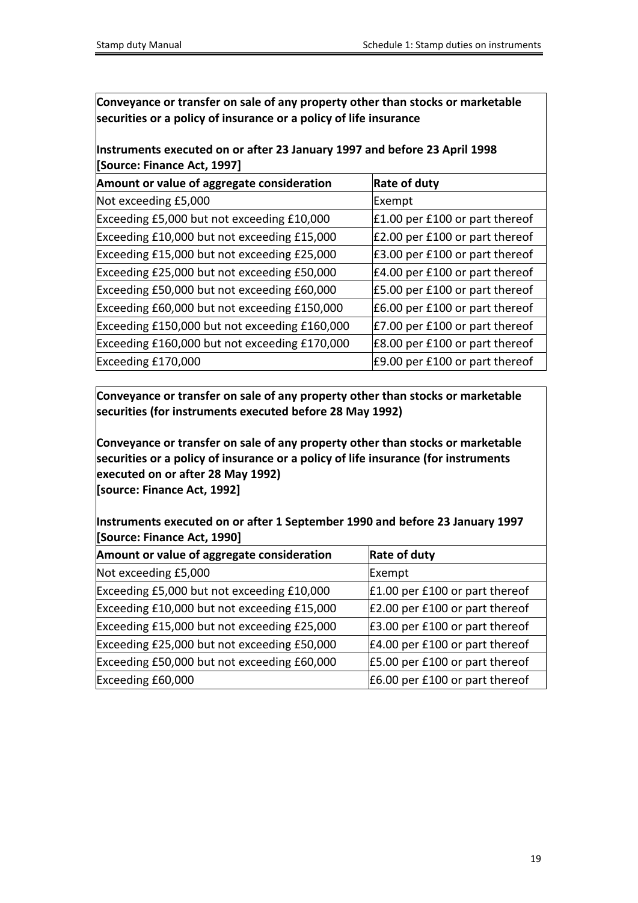# **Instruments executed on or after 23 January 1997 and before 23 April 1998 [Source: Finance Act, 1997]**

| Amount or value of aggregate consideration    | <b>Rate of duty</b>                       |
|-----------------------------------------------|-------------------------------------------|
| Not exceeding £5,000                          | Exempt                                    |
| Exceeding £5,000 but not exceeding £10,000    | $\pm 1.00$ per £100 or part thereof       |
| Exceeding £10,000 but not exceeding £15,000   | $E$ 2.00 per £100 or part thereof         |
| Exceeding £15,000 but not exceeding £25,000   | $\textsf{E}3.00$ per £100 or part thereof |
| Exceeding £25,000 but not exceeding £50,000   | $E4.00$ per £100 or part thereof          |
| Exceeding £50,000 but not exceeding £60,000   | £5.00 per £100 or part thereof            |
| Exceeding £60,000 but not exceeding £150,000  | $E6.00$ per £100 or part thereof          |
| Exceeding £150,000 but not exceeding £160,000 | $E$ 7.00 per £100 or part thereof         |
| Exceeding £160,000 but not exceeding £170,000 | £8.00 per £100 or part thereof            |
| Exceeding £170,000                            | £9.00 per £100 or part thereof            |

**Conveyance or transfer on sale of any property other than stocks or marketable securities (for instruments executed before 28 May 1992)**

**Conveyance or transfer on sale of any property other than stocks or marketable securities or a policy of insurance or a policy of life insurance (for instruments executed on or after 28 May 1992) [source: Finance Act, 1992]**

**Instruments executed on or after 1 September 1990 and before 23 January 1997 [Source: Finance Act, 1990]**

| Amount or value of aggregate consideration  | <b>Rate of duty</b>                       |
|---------------------------------------------|-------------------------------------------|
| Not exceeding £5,000                        | Exempt                                    |
| Exceeding £5,000 but not exceeding £10,000  | $\pm 1.00$ per £100 or part thereof       |
| Exceeding £10,000 but not exceeding £15,000 | $E$ 2.00 per £100 or part thereof         |
| Exceeding £15,000 but not exceeding £25,000 | $\textsf{E}3.00$ per £100 or part thereof |
| Exceeding £25,000 but not exceeding £50,000 | $E4.00$ per £100 or part thereof          |
| Exceeding £50,000 but not exceeding £60,000 | $E$ 5.00 per £100 or part thereof         |
| Exceeding £60,000                           | $E6.00$ per £100 or part thereof          |
|                                             |                                           |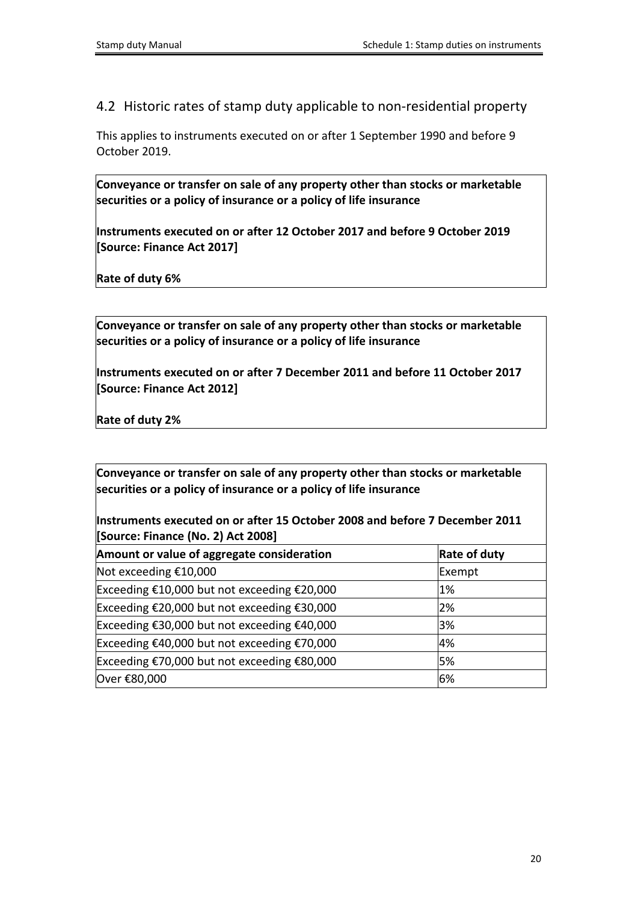<span id="page-19-0"></span>4.2 Historic rates of stamp duty applicable to non-residential property

This applies to instruments executed on or after 1 September 1990 and before 9 October 2019.

**Conveyance or transfer on sale of any property other than stocks or marketable securities or a policy of insurance or a policy of life insurance**

**Instruments executed on or after 12 October 2017 and before 9 October 2019 [Source: Finance Act 2017]**

**Rate of duty 6%**

**Conveyance or transfer on sale of any property other than stocks or marketable securities or a policy of insurance or a policy of life insurance**

**Instruments executed on or after 7 December 2011 and before 11 October 2017 [Source: Finance Act 2012]**

**Rate of duty 2%**

**Conveyance or transfer on sale of any property other than stocks or marketable securities or a policy of insurance or a policy of life insurance**

**Instruments executed on or after 15 October 2008 and before 7 December 2011 [Source: Finance (No. 2) Act 2008]**

| Amount or value of aggregate consideration  | <b>Rate of duty</b> |
|---------------------------------------------|---------------------|
| Not exceeding $£10,000$                     | Exempt              |
| Exceeding €10,000 but not exceeding €20,000 | $1\%$               |
| Exceeding €20,000 but not exceeding €30,000 | 2%                  |
| Exceeding €30,000 but not exceeding €40,000 | 3%                  |
| Exceeding €40,000 but not exceeding €70,000 | 4%                  |
| Exceeding €70,000 but not exceeding €80,000 | 5%                  |
| Over €80,000                                | 6%                  |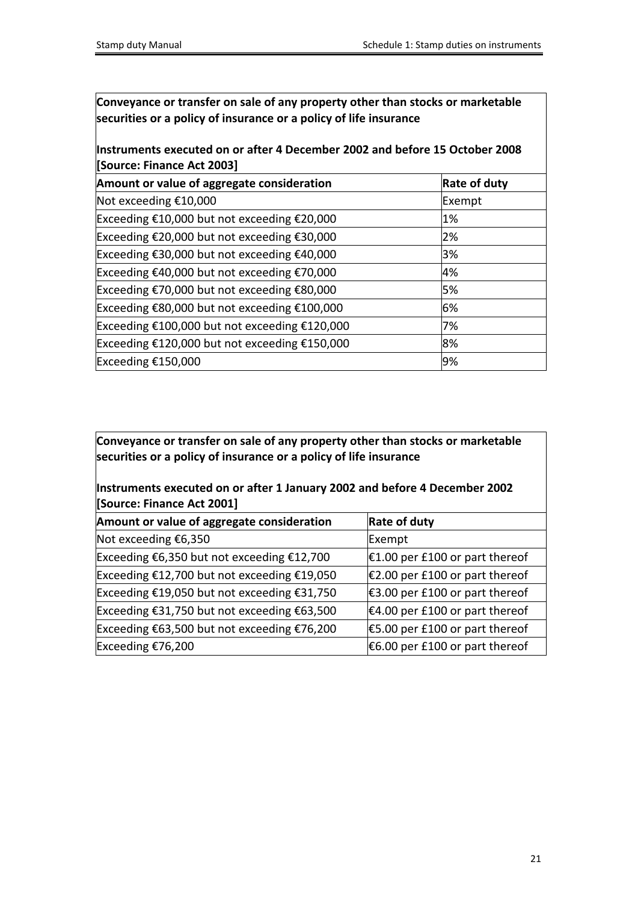**Instruments executed on or after 4 December 2002 and before 15 October 2008 [Source: Finance Act 2003]**

| Amount or value of aggregate consideration          | <b>Rate of duty</b> |
|-----------------------------------------------------|---------------------|
| Not exceeding $£10,000$                             | Exempt              |
| Exceeding €10,000 but not exceeding €20,000         | $1\%$               |
| Exceeding €20,000 but not exceeding €30,000         | 2%                  |
| Exceeding €30,000 but not exceeding €40,000<br>3%   |                     |
| Exceeding €40,000 but not exceeding €70,000         | 4%                  |
| Exceeding €70,000 but not exceeding €80,000         | 5%                  |
| Exceeding €80,000 but not exceeding €100,000<br>6%  |                     |
| Exceeding €100,000 but not exceeding €120,000<br>7% |                     |
| Exceeding €120,000 but not exceeding €150,000<br>8% |                     |
| Exceeding $£150,000$                                | 9%                  |

**Conveyance or transfer on sale of any property other than stocks or marketable securities or a policy of insurance or a policy of life insurance**

**Instruments executed on or after 1 January 2002 and before 4 December 2002 [Source: Finance Act 2001]**

| Amount or value of aggregate consideration  | <b>Rate of duty</b>                       |
|---------------------------------------------|-------------------------------------------|
| Not exceeding $€6,350$                      | Exempt                                    |
| Exceeding €6,350 but not exceeding €12,700  | $€1.00$ per £100 or part thereof          |
| Exceeding €12,700 but not exceeding €19,050 | $ \epsilon$ 2.00 per £100 or part thereof |
| Exceeding €19,050 but not exceeding €31,750 | $€3.00$ per £100 or part thereof          |
| Exceeding €31,750 but not exceeding €63,500 | $€4.00$ per £100 or part thereof          |
| Exceeding €63,500 but not exceeding €76,200 | €5.00 per £100 or part thereof            |
| Exceeding $£76,200$                         | €6.00 per £100 or part thereof            |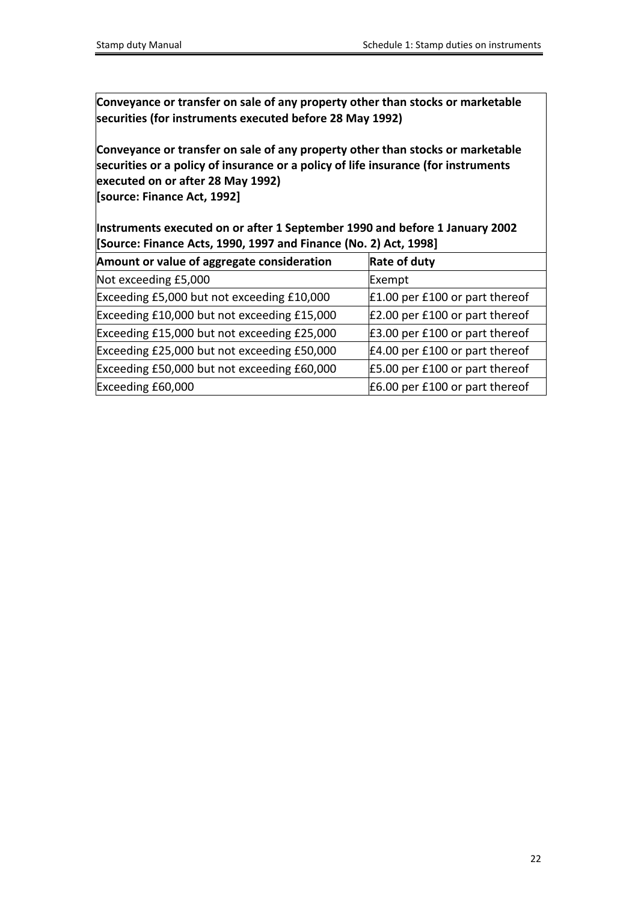**Conveyance or transfer on sale of any property other than stocks or marketable securities (for instruments executed before 28 May 1992)**

**Conveyance or transfer on sale of any property other than stocks or marketable securities or a policy of insurance or a policy of life insurance (for instruments executed on or after 28 May 1992)**

**[source: Finance Act, 1992]**

**Instruments executed on or after 1 September 1990 and before 1 January 2002 [Source: Finance Acts, 1990, 1997 and Finance (No. 2) Act, 1998]**

| Amount or value of aggregate consideration  | <b>Rate of duty</b>                 |
|---------------------------------------------|-------------------------------------|
| Not exceeding £5,000                        | Exempt                              |
| Exceeding £5,000 but not exceeding £10,000  | $\pm 1.00$ per £100 or part thereof |
| Exceeding £10,000 but not exceeding £15,000 | $E$ 2.00 per £100 or part thereof   |
| Exceeding £15,000 but not exceeding £25,000 | E3.00 per £100 or part thereof      |
| Exceeding £25,000 but not exceeding £50,000 | $E4.00$ per £100 or part thereof    |
| Exceeding £50,000 but not exceeding £60,000 | £5.00 per £100 or part thereof      |
| Exceeding £60,000                           | $E6.00$ per £100 or part thereof    |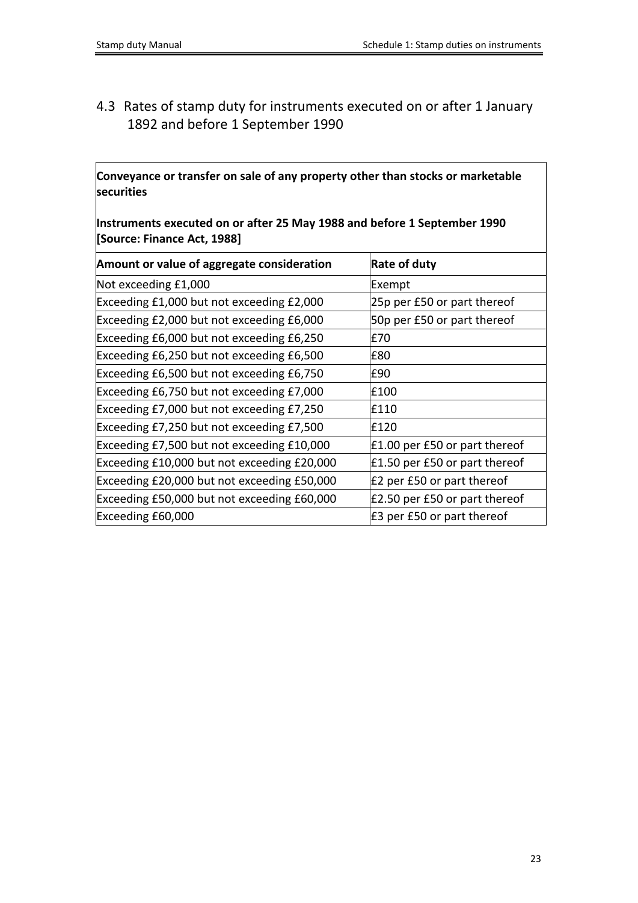# <span id="page-22-0"></span>4.3 Rates of stamp duty for instruments executed on or after 1 January 1892 and before 1 September 1990

**Conveyance or transfer on sale of any property other than stocks or marketable securities**

**Instruments executed on or after 25 May 1988 and before 1 September 1990 [Source: Finance Act, 1988]**

| Amount or value of aggregate consideration  | <b>Rate of duty</b>                |
|---------------------------------------------|------------------------------------|
| Not exceeding £1,000                        | Exempt                             |
| Exceeding £1,000 but not exceeding £2,000   | 25p per £50 or part thereof        |
| Exceeding £2,000 but not exceeding £6,000   | 50p per £50 or part thereof        |
| Exceeding £6,000 but not exceeding £6,250   | £70                                |
| Exceeding £6,250 but not exceeding £6,500   | £80                                |
| Exceeding £6,500 but not exceeding £6,750   | £90                                |
| Exceeding £6,750 but not exceeding £7,000   | £100                               |
| Exceeding £7,000 but not exceeding £7,250   | £110                               |
| Exceeding £7,250 but not exceeding £7,500   | £120                               |
| Exceeding £7,500 but not exceeding £10,000  | $\pm 1.00$ per £50 or part thereof |
| Exceeding £10,000 but not exceeding £20,000 | £1.50 per £50 or part thereof      |
| Exceeding £20,000 but not exceeding £50,000 | £2 per £50 or part thereof         |
| Exceeding £50,000 but not exceeding £60,000 | £2.50 per £50 or part thereof      |
| Exceeding £60,000                           | £3 per £50 or part thereof         |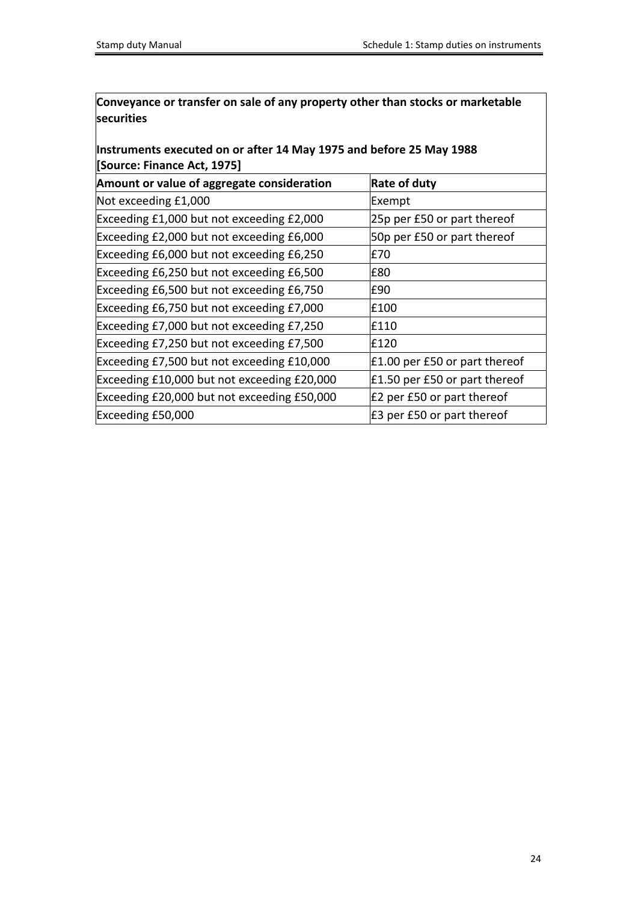**Conveyance or transfer on sale of any property other than stocks or marketable securities**

# **Instruments executed on or after 14 May 1975 and before 25 May 1988 [Source: Finance Act, 1975]**

| Amount or value of aggregate consideration  | <b>Rate of duty</b>           |
|---------------------------------------------|-------------------------------|
| Not exceeding £1,000                        | Exempt                        |
| Exceeding £1,000 but not exceeding £2,000   | 25p per £50 or part thereof   |
| Exceeding £2,000 but not exceeding £6,000   | 50p per £50 or part thereof   |
| Exceeding £6,000 but not exceeding £6,250   | E70                           |
| Exceeding £6,250 but not exceeding £6,500   | E80                           |
| Exceeding £6,500 but not exceeding £6,750   | £90                           |
| Exceeding £6,750 but not exceeding £7,000   | £100                          |
| Exceeding £7,000 but not exceeding £7,250   | E110                          |
| Exceeding £7,250 but not exceeding £7,500   | £120                          |
| Exceeding £7,500 but not exceeding £10,000  | £1.00 per £50 or part thereof |
| Exceeding £10,000 but not exceeding £20,000 | £1.50 per £50 or part thereof |
| Exceeding £20,000 but not exceeding £50,000 | £2 per £50 or part thereof    |
| Exceeding £50,000                           | E3 per £50 or part thereof    |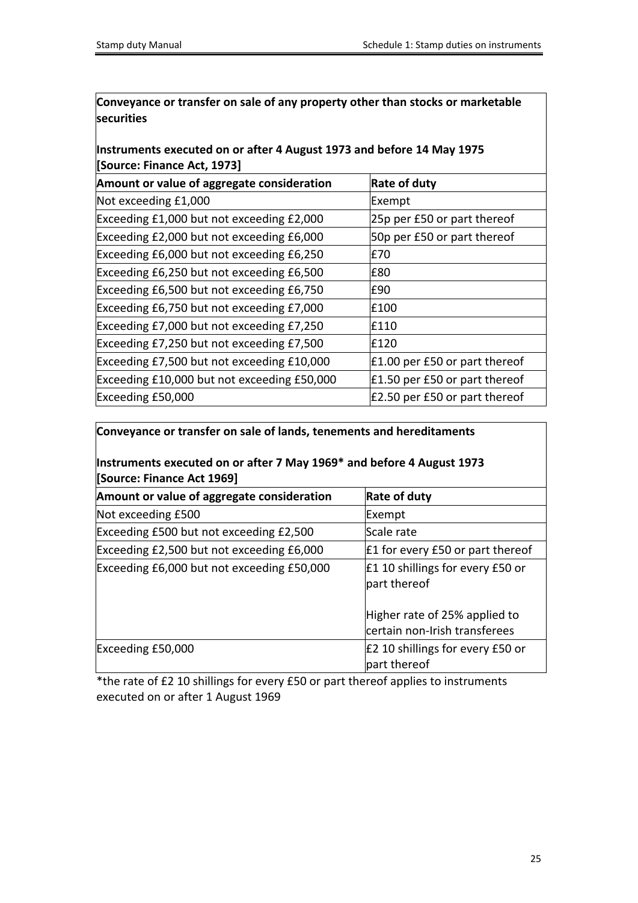**Conveyance or transfer on sale of any property other than stocks or marketable securities**

# **Instruments executed on or after 4 August 1973 and before 14 May 1975 [Source: Finance Act, 1973]**

| Amount or value of aggregate consideration  | <b>Rate of duty</b>           |
|---------------------------------------------|-------------------------------|
| Not exceeding £1,000                        | Exempt                        |
| Exceeding £1,000 but not exceeding £2,000   | 25p per £50 or part thereof   |
| Exceeding £2,000 but not exceeding £6,000   | 50p per £50 or part thereof   |
| Exceeding £6,000 but not exceeding £6,250   | £70                           |
| Exceeding £6,250 but not exceeding £6,500   | £80                           |
| Exceeding £6,500 but not exceeding £6,750   | £90                           |
| Exceeding £6,750 but not exceeding £7,000   | £100                          |
| Exceeding £7,000 but not exceeding £7,250   | £110                          |
| Exceeding £7,250 but not exceeding £7,500   | £120                          |
| Exceeding £7,500 but not exceeding £10,000  | £1.00 per £50 or part thereof |
| Exceeding £10,000 but not exceeding £50,000 | £1.50 per £50 or part thereof |
| Exceeding £50,000                           | £2.50 per £50 or part thereof |

# **Conveyance or transfer on sale of lands, tenements and hereditaments**

### **Instruments executed on or after 7 May 1969\* and before 4 August 1973 [Source: Finance Act 1969]**

| Amount or value of aggregate consideration | <b>Rate of duty</b>                                            |
|--------------------------------------------|----------------------------------------------------------------|
| Not exceeding £500                         | Exempt                                                         |
| Exceeding £500 but not exceeding £2,500    | Scale rate                                                     |
| Exceeding £2,500 but not exceeding £6,000  | £1 for every £50 or part thereof                               |
| Exceeding £6,000 but not exceeding £50,000 | $\pm 1$ 10 shillings for every £50 or<br>part thereof          |
|                                            | Higher rate of 25% applied to<br>certain non-Irish transferees |
| Exceeding £50,000                          | E2 10 shillings for every £50 or<br>part thereof               |

\*the rate of £2 10 shillings for every £50 or part thereof applies to instruments executed on or after 1 August 1969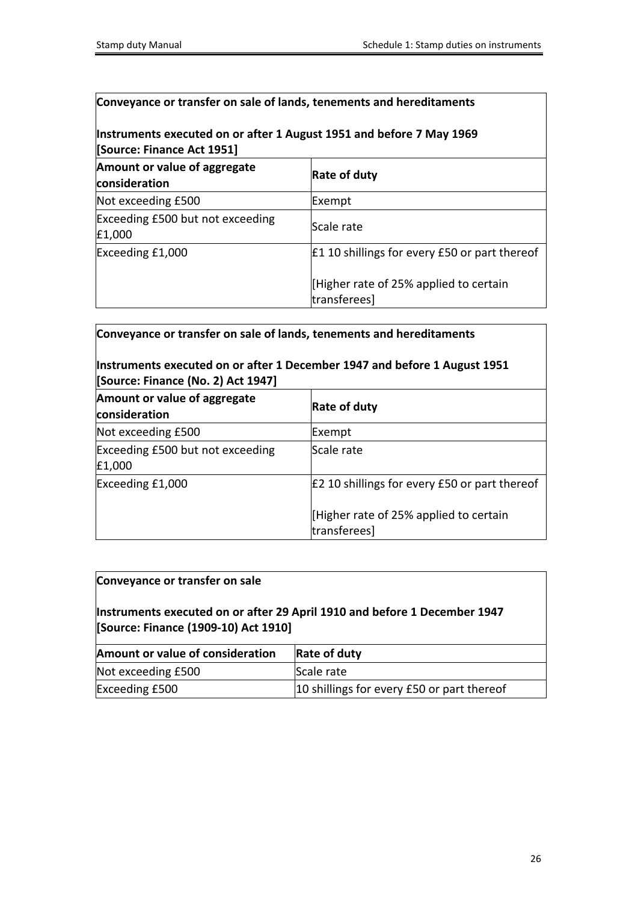### **Conveyance or transfer on sale of lands, tenements and hereditaments**

### **Instruments executed on or after 1 August 1951 and before 7 May 1969 [Source: Finance Act 1951]**

| Amount or value of aggregate<br>consideration | <b>Rate of duty</b>                                   |
|-----------------------------------------------|-------------------------------------------------------|
| Not exceeding £500                            | Exempt                                                |
| Exceeding £500 but not exceeding<br>E1,000    | Scale rate                                            |
| Exceeding £1,000                              | E1 10 shillings for every £50 or part thereof         |
|                                               | Higher rate of 25% applied to certain<br>transferees] |

**Conveyance or transfer on sale of lands, tenements and hereditaments**

### **Instruments executed on or after 1 December 1947 and before 1 August 1951 [Source: Finance (No. 2) Act 1947]**

| Amount or value of aggregate<br>consideration | Rate of duty                                           |
|-----------------------------------------------|--------------------------------------------------------|
| Not exceeding £500                            | Exempt                                                 |
| Exceeding £500 but not exceeding<br>E1,000    | Scale rate                                             |
| Exceeding £1,000                              | E2 10 shillings for every £50 or part thereof          |
|                                               | [Higher rate of 25% applied to certain<br>transferees] |

### **Conveyance or transfer on sale**

### **Instruments executed on or after 29 April 1910 and before 1 December 1947 [Source: Finance (1909-10) Act 1910]**

| Amount or value of consideration | Rate of duty                               |
|----------------------------------|--------------------------------------------|
| Not exceeding £500               | Scale rate                                 |
| Exceeding £500                   | 10 shillings for every £50 or part thereof |